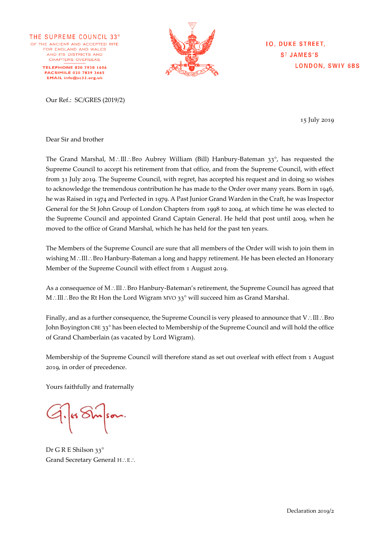THE SUPREME COUNCIL 33° OF THE ANCIENT AND ACCEPTED RITE FOR FNGLAND AND WALES AND ITS DISTRICTS AND CHAPTERS OVERSEAS **TELEPHONE 020 7930 1606 FACSIMILE 020 7839 3665** EMAIL info@sc33.org.uk



**IO, DUKE STREET, SIJAMES'S LONDON, SWIY 6BS** 

15 July 2019

Dear Sir and brother

The Grand Marshal, M.: III.: Bro Aubrey William (Bill) Hanbury-Bateman  $33^\circ$ , has requested the Supreme Council to accept his retirement from that office, and from the Supreme Council, with effect from 31 July 2019. The Supreme Council, with regret, has accepted his request and in doing so wishes to acknowledge the tremendous contribution he has made to the Order over many years. Born in 1946, he was Raised in 1974 and Perfected in 1979. A Past Junior Grand Warden in the Craft, he was Inspector General for the St John Group of London Chapters from 1998 to 2004, at which time he was elected to the Supreme Council and appointed Grand Captain General. He held that post until 2009, when he moved to the office of Grand Marshal, which he has held for the past ten years.

The Members of the Supreme Council are sure that all members of the Order will wish to join them in wishing  $M \cdot \Pi \Pi \cdot$  Bro Hanbury-Bateman a long and happy retirement. He has been elected an Honorary Member of the Supreme Council with effect from 1 August 2019.

As a consequence of  $M$ .: Ill.: Bro Hanbury-Bateman's retirement, the Supreme Council has agreed that M.: Ill : Bro the Rt Hon the Lord Wigram MVO 33° will succeed him as Grand Marshal.

Finally, and as a further consequence, the Supreme Council is very pleased to announce that  $V: \Pi \cup B$ ro John Boyington CBE 33° has been elected to Membership of the Supreme Council and will hold the office of Grand Chamberlain (as vacated by Lord Wigram).

Membership of the Supreme Council will therefore stand as set out overleaf with effect from 1 August 2019, in order of precedence.

Yours faithfully and fraternally

Dr G R E Shilson 33° Grand Secretary General H.: E.: